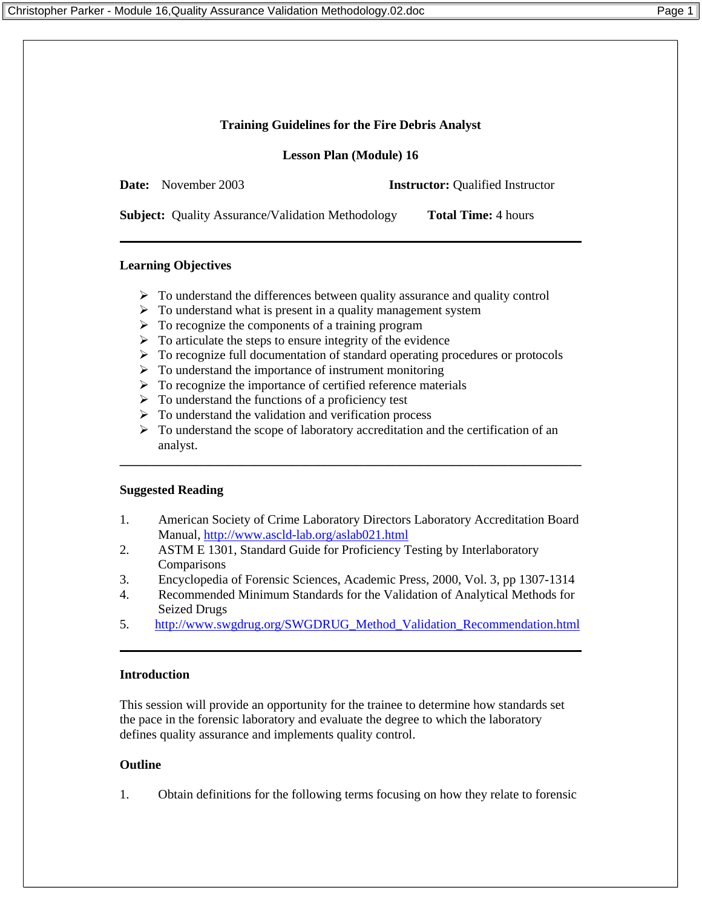### **Training Guidelines for the Fire Debris Analyst**

**Lesson Plan (Module) 16**

**Date:** November 2003 **Instructor:** Oualified Instructor

**Subject:** Quality Assurance/Validation Methodology **Total Time:** 4 hours

# **Learning Objectives**

- $\triangleright$  To understand the differences between quality assurance and quality control
- $\triangleright$  To understand what is present in a quality management system
- $\triangleright$  To recognize the components of a training program
- $\triangleright$  To articulate the steps to ensure integrity of the evidence
- $\triangleright$  To recognize full documentation of standard operating procedures or protocols
- $\triangleright$  To understand the importance of instrument monitoring
- $\triangleright$  To recognize the importance of certified reference materials
- $\triangleright$  To understand the functions of a proficiency test
- $\triangleright$  To understand the validation and verification process
- $\triangleright$  To understand the scope of laboratory accreditation and the certification of an analyst.

**\_\_\_\_\_\_\_\_\_\_\_\_\_\_\_\_\_\_\_\_\_\_\_\_\_\_\_\_\_\_\_\_\_\_\_\_\_\_\_\_\_\_\_\_\_\_\_\_\_\_\_\_\_\_\_\_\_\_\_\_\_\_\_\_\_\_\_\_\_\_\_\_** 

# **Suggested Reading**

- 1. American Society of Crime Laboratory Directors Laboratory Accreditation Board Manual, http://www.ascld-lab.org/aslab021.html
- 2. ASTM E 1301, Standard Guide for Proficiency Testing by Interlaboratory **Comparisons**
- 3. Encyclopedia of Forensic Sciences, Academic Press, 2000, Vol. 3, pp 1307-1314
- 4. Recommended Minimum Standards for the Validation of Analytical Methods for Seized Drugs
- 5. http://www.swgdrug.org/SWGDRUG\_Method\_Validation\_Recommendation.html

#### **Introduction**

This session will provide an opportunity for the trainee to determine how standards set the pace in the forensic laboratory and evaluate the degree to which the laboratory defines quality assurance and implements quality control.

# **Outline**

1. Obtain definitions for the following terms focusing on how they relate to forensic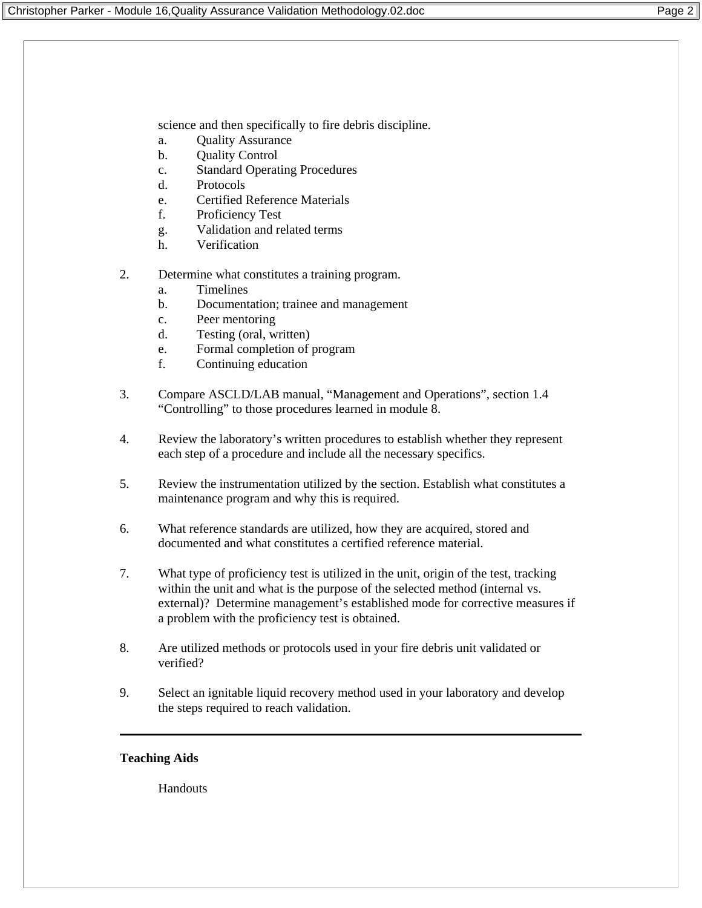science and then specifically to fire debris discipline.

- a. Quality Assurance
- b. Quality Control
- c. Standard Operating Procedures
- d. Protocols
- e. Certified Reference Materials
- f. Proficiency Test
- g. Validation and related terms
- h. Verification
- 2. Determine what constitutes a training program.
	- a. Timelines
	- b. Documentation; trainee and management
	- c. Peer mentoring
	- d. Testing (oral, written)
	- e. Formal completion of program
	- f. Continuing education
- 3. Compare ASCLD/LAB manual, "Management and Operations", section 1.4 "Controlling" to those procedures learned in module 8.
- 4. Review the laboratory's written procedures to establish whether they represent each step of a procedure and include all the necessary specifics.
- 5. Review the instrumentation utilized by the section. Establish what constitutes a maintenance program and why this is required.
- 6. What reference standards are utilized, how they are acquired, stored and documented and what constitutes a certified reference material.
- 7. What type of proficiency test is utilized in the unit, origin of the test, tracking within the unit and what is the purpose of the selected method (internal vs. external)? Determine management's established mode for corrective measures if a problem with the proficiency test is obtained.
- 8. Are utilized methods or protocols used in your fire debris unit validated or verified?
- 9. Select an ignitable liquid recovery method used in your laboratory and develop the steps required to reach validation.

#### **Teaching Aids**

Handouts